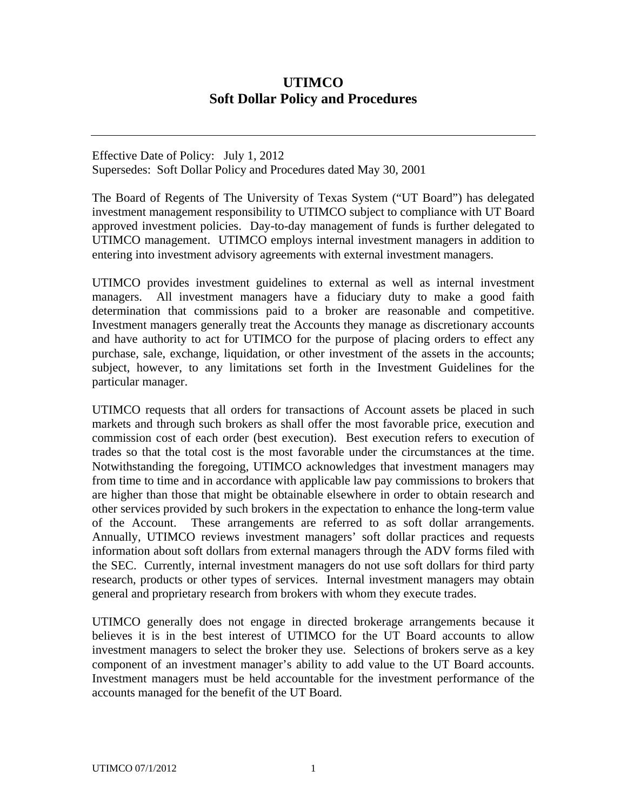## **UTIMCO Soft Dollar Policy and Procedures**

Effective Date of Policy: July 1, 2012 Supersedes: Soft Dollar Policy and Procedures dated May 30, 2001

The Board of Regents of The University of Texas System ("UT Board") has delegated investment management responsibility to UTIMCO subject to compliance with UT Board approved investment policies. Day-to-day management of funds is further delegated to UTIMCO management. UTIMCO employs internal investment managers in addition to entering into investment advisory agreements with external investment managers.

UTIMCO provides investment guidelines to external as well as internal investment managers. All investment managers have a fiduciary duty to make a good faith determination that commissions paid to a broker are reasonable and competitive. Investment managers generally treat the Accounts they manage as discretionary accounts and have authority to act for UTIMCO for the purpose of placing orders to effect any purchase, sale, exchange, liquidation, or other investment of the assets in the accounts; subject, however, to any limitations set forth in the Investment Guidelines for the particular manager.

UTIMCO requests that all orders for transactions of Account assets be placed in such markets and through such brokers as shall offer the most favorable price, execution and commission cost of each order (best execution). Best execution refers to execution of trades so that the total cost is the most favorable under the circumstances at the time. Notwithstanding the foregoing, UTIMCO acknowledges that investment managers may from time to time and in accordance with applicable law pay commissions to brokers that are higher than those that might be obtainable elsewhere in order to obtain research and other services provided by such brokers in the expectation to enhance the long-term value of the Account. These arrangements are referred to as soft dollar arrangements. Annually, UTIMCO reviews investment managers' soft dollar practices and requests information about soft dollars from external managers through the ADV forms filed with the SEC. Currently, internal investment managers do not use soft dollars for third party research, products or other types of services. Internal investment managers may obtain general and proprietary research from brokers with whom they execute trades.

UTIMCO generally does not engage in directed brokerage arrangements because it believes it is in the best interest of UTIMCO for the UT Board accounts to allow investment managers to select the broker they use. Selections of brokers serve as a key component of an investment manager's ability to add value to the UT Board accounts. Investment managers must be held accountable for the investment performance of the accounts managed for the benefit of the UT Board.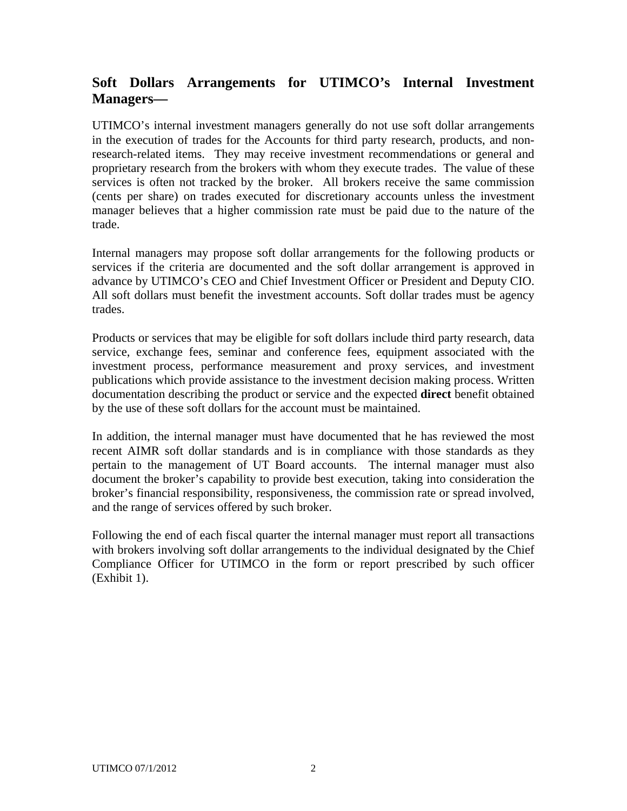## **Soft Dollars Arrangements for UTIMCO's Internal Investment Managers—**

UTIMCO's internal investment managers generally do not use soft dollar arrangements in the execution of trades for the Accounts for third party research, products, and nonresearch-related items. They may receive investment recommendations or general and proprietary research from the brokers with whom they execute trades. The value of these services is often not tracked by the broker. All brokers receive the same commission (cents per share) on trades executed for discretionary accounts unless the investment manager believes that a higher commission rate must be paid due to the nature of the trade.

Internal managers may propose soft dollar arrangements for the following products or services if the criteria are documented and the soft dollar arrangement is approved in advance by UTIMCO's CEO and Chief Investment Officer or President and Deputy CIO. All soft dollars must benefit the investment accounts. Soft dollar trades must be agency trades.

Products or services that may be eligible for soft dollars include third party research, data service, exchange fees, seminar and conference fees, equipment associated with the investment process, performance measurement and proxy services, and investment publications which provide assistance to the investment decision making process. Written documentation describing the product or service and the expected **direct** benefit obtained by the use of these soft dollars for the account must be maintained.

In addition, the internal manager must have documented that he has reviewed the most recent AIMR soft dollar standards and is in compliance with those standards as they pertain to the management of UT Board accounts. The internal manager must also document the broker's capability to provide best execution, taking into consideration the broker's financial responsibility, responsiveness, the commission rate or spread involved, and the range of services offered by such broker.

Following the end of each fiscal quarter the internal manager must report all transactions with brokers involving soft dollar arrangements to the individual designated by the Chief Compliance Officer for UTIMCO in the form or report prescribed by such officer (Exhibit 1).